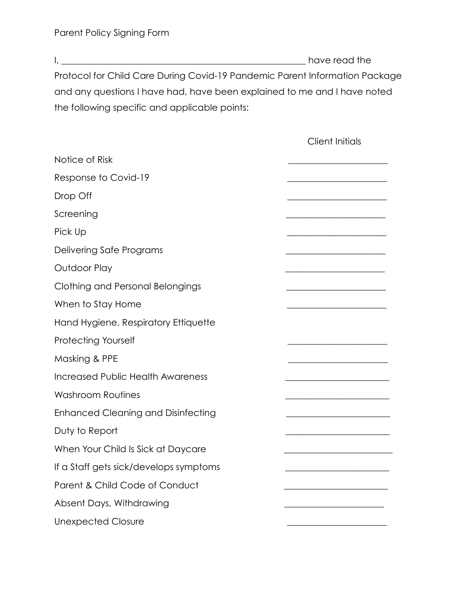I, \_\_\_\_\_\_\_\_\_\_\_\_\_\_\_\_\_\_\_\_\_\_\_\_\_\_\_\_\_\_\_\_\_\_\_\_\_\_\_\_\_\_\_\_\_\_\_\_\_\_\_\_\_\_ have read the Protocol for Child Care During Covid-19 Pandemic Parent Information Package and any questions I have had, have been explained to me and I have noted the following specific and applicable points:

|                                           | <b>Client Initials</b> |
|-------------------------------------------|------------------------|
| Notice of Risk                            |                        |
| Response to Covid-19                      |                        |
| Drop Off                                  |                        |
| Screening                                 |                        |
| Pick Up                                   |                        |
| Delivering Safe Programs                  |                        |
| Outdoor Play                              |                        |
| Clothing and Personal Belongings          |                        |
| When to Stay Home                         |                        |
| Hand Hygiene, Respiratory Ettiquette      |                        |
| <b>Protecting Yourself</b>                |                        |
| Masking & PPE                             |                        |
| <b>Increased Public Health Awareness</b>  |                        |
| <b>Washroom Routines</b>                  |                        |
| <b>Enhanced Cleaning and Disinfecting</b> |                        |
| Duty to Report                            |                        |
| When Your Child Is Sick at Daycare        |                        |
| If a Staff gets sick/develops symptoms    |                        |
| Parent & Child Code of Conduct            |                        |
| Absent Days, Withdrawing                  |                        |
| <b>Unexpected Closure</b>                 |                        |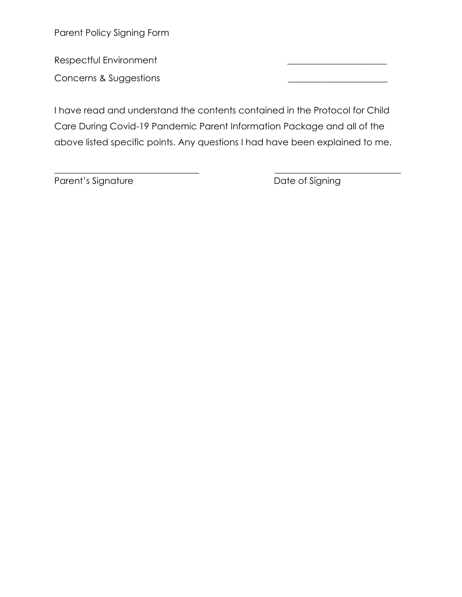Parent Policy Signing Form

Respectful Environment \_\_\_\_\_\_\_\_\_\_\_\_\_\_\_\_\_\_\_\_\_\_

Concerns & Suggestions \_\_\_\_\_\_\_\_\_\_\_\_\_\_\_\_\_\_\_\_\_\_

I have read and understand the contents contained in the Protocol for Child Care During Covid-19 Pandemic Parent Information Package and all of the above listed specific points. Any questions I had have been explained to me.

\_\_\_\_\_\_\_\_\_\_\_\_\_\_\_\_\_\_\_\_\_\_\_\_\_\_\_\_\_\_\_\_ \_\_\_\_\_\_\_\_\_\_\_\_\_\_\_\_\_\_\_\_\_\_\_\_\_\_\_\_

Parent's Signature **Date of Signing**